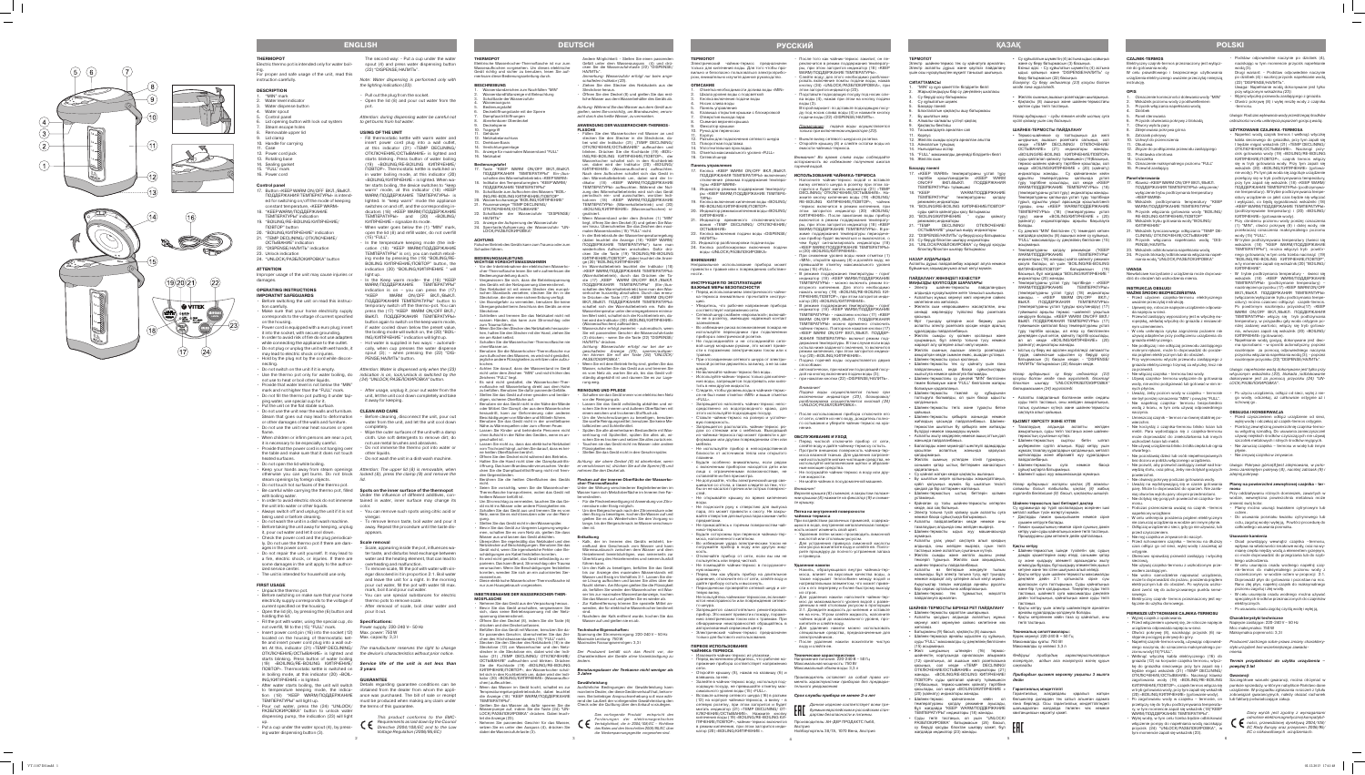Электр шайнек-термос тек су қайнатуға арналған. Электр аспапты дұрыс және қауіпсіз пайдалану үшін осы нұсқаулықпен мұқият танысып шығы<mark>ңы</mark>з

 $\overline{\phantom{a}}$ 

**ТЕРМОПОТ**

1. "MIN" су құю қажеттігін білдіретін белгі .<br>Жарықтандыруы бар су деңгейінің шкаласы

Су беруді қосу батырмась Сү құйылатын шүмек 5. Басқару панелі

**СИПАТТАМАСЫ**

Бу шығатын жер 8. Алмалы-салмалы үстіңгі қақпақ

9. Қақпақты бекіткіш Тасымалдауға арналған сап

17. «KEEP WARM» температураны ұстап тұру тәртібін қосып/сөндіретін «КЕЕР WARM<br>ON/OFF ВКЛ./ВЫКЛ. ПОДДЕРЖАНИЯ<br>ТЕМПЕРАТУРЫ» түймешесі

6. Блокталатын қақпақты ашу батырмасы

12. Желілік сымды қосуға арналған ағытпа

13. Айналатын тұғырық 14. Нығыздағыш астар

15. "FULL" максималды деңгейді білдіретін белгі

21. "TEMP DECLINING/ ОТКЛЮЧЕНИЕ/ ОСТЫВАНИЕ" уақытша өшіру индикаторы 22. "DISPENSE/НАЛ ИТЬ" су беруді қосу батырмасы 23. Су беруді блоктан шығару индикаторы 24. "UNLOCK/ РАЗБЛ О КИРОВКА" су беруді қосуды блоктау/блоктан шығару батырмасы

16. Желілік сым **Басқару панелі**

18 **"KFFP** 

"KEEP WARM/поддержание температуры" температураны қолдау режимінің индикаторы 19. "BOILING/RE-BOILING КИПЯ Ч Е НИЕ /ПОВТОР" суды қайта қайнатуды қосу батырмасы 20. "BOILING/КИПЯ Ч Е НИЕ " суды қайнату

режимінің индикаторы

**НАЗАР АУДАРЫҢЫЗ**

Аспапты дұрыс пайдаланбау жарақат алуға немесе бұйымның зақымдануына алып келуі мүмкін. **ПАЙДАЛАНУ ЖӨНІНДЕГІ КЕҢЕСТЕР МАҢЫЗДЫ ҚАУІПСІЗДІК ШАРАЛАРЫ**

• Электр шайнек-термосты пайдаланудың алдында нұсқаулықпен жете танысып шығыңыз. • Аспаптың жұмыс кернеуі желі кернеуіне сәйкес

келетініне көз жеткізіңіз.

• Желелік сым «евроашамен» жасақталған, оны сенімді жерлендіру түйіспесі бар розеткаға

қосыңыз.

1. Корпус

• Өрт туындау қатеріне жол бермеу үшін аспапты электр розеткаға қосқан кезде аралық

құралдарды пайдаланбаңыз.

• Желілік сымды су қолмен қоспаңыз және суырмаңыз, бұл электр тогына түсу немесе жарақат алу қатеріне алып келуі мүмкін. • Желілік сымның ашасын электр розеткадан ажыратқан кезде сымнан емес, ашадан ұстаңыз.

• Шайнек-термосты сусыз қоспаңыз.

• Шайнек-термосты тек су қайнату үшін ғана пайдаланыңыз, онда басқа сұйықтықтарды жылытуға немесе қайнатуға болмайды. • Шайнек-термостағы су деңгейі "MIN" белгісінен

болмауын қадағалаңыз.

• Шайнек-термос қайнағаннан кейін ол бөлшектер дилерден тек сатып алынған адамға температураны қолдау режиміне ауысады, ғана беріледі. Осы гарантиялық міндеттілігіндегі<br>бұл жағдайда "KEEP WARM/ПОДДЕРЖАНИЕ шағымдалған жағдайда төлеген чек немесе<br>ТЕМПЕРАТУРЫ"индикаторы (18) жанады.

• Шайнек-термосты тікелей су құбырынан толтыруға болмайды, ол үшін басқа ыдысты қолданыңыз. • Шайнек-термосты тегіс және тұрақты бетке

қойыңыз.

• Шайнек-термосты қабырға жанында немесе жиһаздың қасында пайдаланбаңыз. Шайнектермостан шығатын бу қабырға мен жиһазды

бүлдіруі немесе зақымдауы мүмкін.

• Аспапты жылу көздерінің немесе ашық оттың дәл

жанында пайдаланбаңыз.

• Балаларды және мүмкіндігі шектеулі адамдарды қосылған аспаптың жанында қараусыз

қалдырмаңыз.

• Желілік сымның үстелден ілініп тұрмауын, сонымен қатар ыстық беттермен жанаспауын

қадағалаңыз.

• Су қайнап жатқан кезде қақпақты ашпаңыз. • Бу шығатын жерге қолыңызды жақындатпаңыз, күйіп қалуыңыз мүмкін. Бу шығатын тесікті

қандай да бір заттармен жаппаңыз.

• Шайнек-термостың ыстық беттерін қолмен

ұстамаңыз.

кезде, аса сақ болыңыз.

• Электр тогына түсіп қалмау үшін аспапты суға немесе басқа сұйықтыққа батырмаңыз. • Аспапты пайдаланбаған кезде немесе оны тазалаудың алдында оны желіден өшіріңіз. • Шайнек-термосты ыдыс жуу машинасында

КИПЯЧЕНИЕ/ПОВТОР" батырмасын (19) басыңыз, бұл жағдайда "BOILING/КИПЯ Ч Е НИЕ "

емператураны ұстап тұру тәртібінде - «KEEP

жумаңыз.

• Аспапты ұзақ уақыт сақтауға алып қоюдың

тастаңыз және аспаптың суығанын күтіңіз. • Желілік сымды және желілік ашаны үнемі тексеріп тұрыңыз. Желілік сым зақымданса,

шайнек-термосты пайдаланбаңыз. • Аспапты өз бетіңізше жөндеуге тыйым

немесе жарақат алу қатеріне алып келуі мүмкін. Ақаулықтар тапқан жағдайда арнайы рұқсаты бар сервис орталығына хабарласыңыз. • Шайнек-термос тек тұрмыстық мақсатта

пайдалануға арналған.

• Шайнек-термосты қораптан шығарыңыз. • Аспапты қосудың алдында аспаптың жұмыс кернеуі желі кернеуіне сәйкес келетініне көз жеткізіңіз. • Батырманы (9) басып, қақпақты (8) ашыңыз.

(15) асырмаңыз.

• Желі шнурының штекерін (16) термос-

• Лимон қышқылының немесе сірке суының дәмін кетіру үшін суды қайнатыңыз және төгіп тастаңы<br>Процедураны дәм кеткенге дейін қайталаңыз.

қосыңыз, сол кезде «TEMP DECLINING/ ОТКЛЮЧЕНИЕ/ОСТЫВАНИЕ» индикаторы (21)

ПОВТОР» суды қайталап қайнату түймешесін *дейiн* (19)басыңыз, термос-шәйнек қайнату тәртібіне

(20) (қайнату) индикаторы жанады.

• Суды төгіп тастаңыз, ол үшін "UNLOCK/ РАЗБЛОКИРОВКА" батырмасын (24) басып, су беруді қосуды блоктан шығару қажет, бұл

төмен болмауын және "FULL" белгісінен жоғары *блоктан шығару "UNLOCK/РАЗБЛОКИРОВКА"* 

**ТЕРМОПОТ** Электрический чайник-термос предназначен только для кипячения воды. Для того чтобы пра вильно и безопасно пользоваться электроприб тельно изучите данное руководство

жағдайда индикатор (23) жанады.

# • Су құйылатын шүмектің (4) астына ыдыс қойыңыз

- **ОПИСАНИЕ**  1. Отметка необходимости долива воды «MIN»
- 2. Шкала уровня воды с подсветкой
- 3. Кнопка включения подачи воды 4. Носик слива воды
- Панель управлен 6. Клавиша открытия крышки с блокировкой
- 7. Отверстия выхода пара 8. Съемная верхняя крышка
- 9. Фиксатор крышки Ручка для переноски
- Корпус

және су беру батырмасын (3) басыңыз.

беру батырмасын (22) басыңыз.

*кезде ғана жүргізіледі.*

# Екінші әдіс: - Су құйылатын шүмектің (4) астына ыдыс қойыңыз және "DISPENSE/НАЛ ИТЬ" су *Ескерту: Су беру индикатор (23) қосулы болған*  • Желілік сымның ашасын розеткадан шығарыңыз. • Қақпақты (8) ашыңыз және шайнек-термостағы *Назар аударыңыз: - суды төккен кезде ыстық суға*

қалған суды төгіп тастаңыз.

*күйіп қалмау үшін сақ болыңыз.* **ШАЙНЕК-ТЕРМОСТЫ ПАЙДАЛАНУ** 

- Разъем для подключения сетевого шнура 8. Поворотная подставка
- 14. Уплотнительная прокладка
- 15. Отметка максимального уровня «FULL» 16. Сетевой шнур
- **Панель управления**
- 17. Кнопка «KEEP WARM ON/OFF ВКЛ./ВЫКЛ. поддержания температуры» включение/ ение режима поддержания темпера туры «KEEP WARM»
- 18. Индикатор режима поддержания температу ры «KEEP WARM/поддержание темпера - Т
- » 19. Кнопка включения кипячения воды «BOILING/ RE-BOILING КИПЯЧЕНИЕ/ПОВТОР »
- 20. Индикатор режима кипячения воды «BOILING/ КИПЯЧЕНИЕ » 21. Индикатор временного откли Индикатор временного отключения/осты-<br>вания «TEMP DECLINING/ ОТКЛЮЧЕНИЕ/
- ОСТЫВАНИЕ» 22. Кнопка включения подачи воды «DISPENSE/ НАЛИТЬ»
- 1ндикатор разблокировки подачи воды 24. Кнопка разблокировки включения подачи воды «UNLOCK/РАЗБЛОКИРОВКА»

• Термос-шәйнекке су толтырыңыз да желі шнурының ашасын розеткаға салыңыз, сол кезде «TEMP DECLINING/ ОТКЛЮЧ Е НИЕ / ОСТЫВАНИЕ» (21) индикаторы жанады. «BOILING/RE-BOILING КИПЯЧЕНИЕ/ПОВТОР»

• Қайнаған су толы шайнек-термосты көтерген **Шайнек-термостың ішкі бетіндегі дақтар** 

- суды қайталап қайнату түймешесін (19)басыңыз, термос-шәйнек қайнату тәртібіне қосылады, сол кезде «BOILING/КИПЯ Ч Е НИЕ » (20) (қайнату) индикаторы жанады. Су қайнағаннан кейін құрылғы температураны қалпында ұстап тұру тәртібіне қосылады, сол кезде «KEEP
- WARM/поддержание температур ы» (18) (температураны ұстап тұру) индикаторы жанады. Температураны қалпында ұстап тұру тәртібінде тұрып, құрылғы уақыт арасында қосылып/сөніп тұрады, оны «KEEP WARM/поддержание температуры» (18) (температураны ұстап
- тұру) және «BOILING/КИПЯ Ч Е НИЕ » (20) (қайнату) индикаторлары арқылы бақылауға болады. • Су деңгейі "MIN" белгісінен (1) төмендеп кеткен
- жағдайда қақпақты (8) ашыңыз және су құйыңыз, "FULL" максималды су деңгейінің белгісінен (15)
	-
	-
	-

алдында, оны желіден өшіріңіз, суын төгіп **Қақты кетіру**

салынады. Бұл электр тогына түсу, өрт туындау • Қақты кетіру үшін шайнек-термосты максималды

тастаңыз.<br>• Қақты кетіру үшін электр шайнектерге арналған **идийнек-термосты бірінші рет пайдалану** 

асырмаңыз.

- 
- 
- 
- Температураны қолдау режимінде ("KEEP WARM/поддержание температур ы"
- индикаторы (18) жанады) қайта қайнату режимін
- 
- 
- 
- 
- 
- 
- 
- 
- 
- 
- 

индикаторы (20) жанады.

WARM/поддержание

• Шайнек-термосқа арнайы ыдыспен су құйыңыз, Қорек кернеуі: 220-240 В ~ 50 Гц суды "FULL" максималды су деңгейінің белгісінен Максималды қуаты: 750 Вт

температур ы»

шәйнектің корпусында орналасқан айырмаға *Өндiрушi прибордың характеристикаларын*  (12) орнатыңыз, ал ашасын желі розеткасына *өзгертуге, алдын ала ескертусiз өзiнiң құқын* 

жанады. «BOILING/RE-BOILING КИПЯЧЕНИЕ/ П**рибордын қызмет көрсету уақыты 3 жылға** 

(температураны ұстап тұру) (18) индикаторы жанады. - «KEEP WARM ON/OFF ВКЛ./ ВЫКЛ. ПОДДЕРЖАНИЯ ТЕМПЕРАТУРЫ» (температураны ұстап тұруды қосу/сөндіру) (17) түймешесі арқылы термос –шәйнекті уақытша сөндіруге болады. «KEEP WARM ON/OFF ВКЛ./ ВЫКЛ. ПОЛЛЕРЖАНИЯ ТЕМПЕРАТУРЫ» (17) түймешесін қайталап басу температураны ұстап тұру тәртібін қосады, ал егер су белгіленген деңгейден суып кетсе, қайнату тәртібі қосылады, ал ол кезде «BOILING/КИПЯ Ч Е НИЕ» (20)

қосылады, сол кезде «BOILING/КИПЯ Ч Е НИЕ » **Гарантиялық мiндеттiлiгi**

(қайнату) индикаторы жанады.

• Ыстық су беру екі әдіспен жүргізіледі: автоматты , сәйкесінше ыдыспен су беруді қос батырмасын (3) басқан кезде; - "DISPENSE/ НАЛ ИТЬ" батырмасын (22) басқан кезде. *Назар аударыңыз: су беру индикатор (23) қосулы болған кезде ғана жүргізіледі, блоктау/*

*батырмасымен (24) жүргізіледі.*

• После того как чайник-термос закипит, он переключится в режим поддержания температу реключится в режим поддержания температу-<br>ры, при этом загорится индикатор (18) «KEEP<br>WARM/ПОДДЕРЖАНИЕ ТЕМПЕРАТУРЫ». • Слейте воду; для этого необходимо разблоки ровать включение помпы подачи воды, нажав кнопку (24) «UNLOCK/РАЗБЛОКИРОВКА», при этом загорится индикатор (23). • Подставьте подходящую посуду под носик сли ва воды (4), нажав при этом на кнопку подачи

- воды (3). Второй вариант: по дставьте подходящую посу ду под носик слива воды (4) и нажмите кнопку
- подачи воды (22) «DISPENSE/НАЛИТЬ». Примечание: подача воды осуществляется
- только при включенном индикаторе (23).
- Выньте вилку сетевого шнура из розетки. • Откройте крышку (8) и слейте остатки воды из
- емкости чайника-термоса. Внимание! Во время слива воды соблюдайте
- осторожность во избежание получения ожогов горячей водой.
- **ИСПОЛЬЗОВАНИЕ ЧАЙНИКА-ТЕРМОСА** • Наполните чайник-термос водой и вставьте вилку сетевого шнура в розетку при этом за горится и будет мигать индикатор (21) «TEMP DECLINING/ ОТКЛЮЧЕНИЕ/ОСТЫВАНИЕ». На жмите кнопку кипячения воды (19) «BOILING/ RE-BOILING КИПЯЧЕНИЕ/ПОВТОР», чайник -термос включится в режим кипячения, при этом загорится индикатор (20) «BOILING/ КИПЯЧЕНИЕ». После закипания воды прибор включится в режим поддержания <mark>те</mark> ры, при этом загорится индикатор (18) «KEEP WARM/поддержание температуры». В ре жиме поддержания температуры периодиче ски прибор будет включаться и выключатся, о чем будут сигнализировать индикаторы (18) «KEEP WARM/поддержание температуры»
- и (20) «BOILING/КИПЯЧЕНИЕ». • При снижении уровня воды ниже отметки (1) «MIN», откройте крышку (8) и долейте воду; не плайте отметку максимального уровня воды (15) «FULL».
- В режиме поддержания температуры горит индикатор (18) «KEEP WARM/поддержание температуры» - можно включить режим по вторного кипячения. Для этого необходим нажать кнопку (19) «BOILING/RE-BOILING КИ - ПЯЧЕНИЕ/ПОВТОР», при этом загорится инди -
- катор (20) «BOILING/КИПЯЧЕНИЕ». В режиме поддержания температуры - гор индикатор (18) «KEEP WARM/поддержание температуры» - нажатием кнопки (17) «KEEP WARM ON/OFF ВКЛ./ВЫКЛ. ПОДДЕРЖАНИЯ ТЕМПЕРАТУРЫ» можно временно отключить<br>чайник-термос Повторное нажатие кнопки (17) «КЕЕР WARM ON/OFF ВКЛ./ВЫКЛ. ПОДДЕРжания температуры» включит режим поддержания температуры. В том случае если вода остыла ниже заданного значения, то включится режим кипячения, при этом загорится индика тор (20) «BOILING/КИПЯЧЕНИЕ». одача горячей воды осуществляется двумя
- способами: - автоматически, при нажатии подходящей посу дой на кнопку включения подачи воды (3); .<br>1ри нажатии кнопки (22) «DISPENSE/НАЛИТЬ»

• Аспапты пайдаланып болғаннан кейін ондағы суды төгіп тастаңыз, оны желіден ажыратыңыз, толық суығанын күтіңіз және шайнек-термосты

сақтауға алып қойыңыз. **ҚЫЗМЕТ КӨРСЕТУ ЖӘНЕ КҮТІМ**

• Тазалаудың алдында аспапты желіден ажыратыңыз, суды төгіп тастаңыз және шайнек-

термостың суығанын күтіңіз.

• Шайнек-термостың сыртқы бетін ылғал шүберекпен сүртіп алыңыз. Кірді кетіру үшін жұмсақ тазалау құралдарын қолданыңыз, металл щеткаларды және абразивті жуу құралдарын

пайдаланбаңыз.

• Шайнек-термосты суға немесе басқа

сұйықтықтарға батырмаңыз.

• Шайнекті ыдыс жуу машинасында жумаңыз. *Назар аударыңыз: жоғарғы қақпақ (8) алмалысалмалы болып табылады, қақпақ (8) жабық тұрғанда бекіткішке (9) басып, қақпақты шешіңіз.* 

Су құрамында әр түрлі қоспалардың әсерінен ішкі металл жабын түсін өзгертуі мүмкін. • Дақтарды лимон қышқылымен немесе сірке

суымен кетіруге болады.

• Шайнек-термостың ішінде түзілетін қақ судың дәмдік қасиеттеріне әсер етеді, сонымен қатар су және қыздыру элементі арасындағы жылу алмасуды бұзады, бұл қыздыру элементінің қызып кетуіне және тез істен шығуына алып келеді. деңгейге дейін 2:1 қатынаста сірке суы араласқан суға толтырыңыз. Суды қайнатыңыз және бір түнге қалдырыңыз. Таңертең суды төгіп тастаңыз, шайнекті суға максималды деңгейге дейін толтырыңыз, қайнатыңыз және суды төгіп

- и чисткой отключите прибор от сети, слейте воду и дайте чайнику-термосу остыть. • Протрите внешнюю поверхность чайника-тер - моса влажной тканью. Для удаления загрязне ний используйте мягкие чистящие средства, не используйте металлические щетки и абразив ные моющие средства.
- Не погружайте чайник-термос в воду или дру гие жидкости.
- Не мойте чайник в посудомоечной машине
- Внимание! Верхняя крышка (8) съемная; в закрытом положе нии крышки (8) нажмите на фиксатор (9) и сними те крышку.

**чайника-термоса** ли воздействии различных примесей, содержа щихся в воде, внутренняя металлическая поверх ость может изменить свой цвет

> арнайы құралдарды қолдануға болады. • Қақты кетіргеннен кейін таза су қайнатып, оны

төгіп тастаңыз.

**Техникалық сипаттамалары:**

Максималды су көлемі: 3,3 л

*сақтайды* 

Гарантиялық жағдайдағы қаралып жатқан

квитанциясын көрсетуi қажет.

**Қазақ**

5

- отключение/о
- налить "

Vor der Inbetriebnahme der elektrischen Wasserko cher-Thermoflasche lesen Sie sehr aufmerksam die Bedienungsanleitung durch. • Vergewissern Sie sich, dass die Betriebsspannung des Geräts mit der Netzspannung übereinstimmt. • Das Netzkabel ist mit einem Stecker des europä ischen Standards versehen; stecken Sie ihn in die kdose, die über eine sichere Erdung verfügt. • Um Brandgefahr zu vermeiden, benutzen Sie keine

angskabel beim Anschluss des Geräts an eine • Schließen und trennen Sie das Netzkabel nicht mit nassen Händen, das kann zum Stromschlag oder • Wenn Sie Sie den Stecker des Netzkabels herauszie

**ВНИМАНИЕ!** Неправильное использование прибора может привести к травме или к повреждению собствен ности.

#### **ИНСТРУКЦИЯ ПО ЭКСПЛУАТАЦИИ**

-

**ВАЖНЫЕ МЕРЫ БЕЗОПАСНОСТИ** • Перед использованием электрического чайни ка-термоса внимательно прочитайте инструк цию. • Убедитесь, что рабочее напряжение прибора

- соответствует напряжению сети. • Сетевой шнур снабжен «евровилкой»; включай те ее в розетку, имеющую надежный контакт
- заземления. • Во избежание риска возникновения пожара не используйте переходники при подключении прибора к электрической розетке.
- Не подсоединяйте и не отсоединяйте сетевой шнур мокрыми руками, это может прив сти к поражению электрическим током или к травме.
- При отсоединении сетевого шнура от электри ческой розетки держитесь за вилку, а не за сам шнур. • Не включайте чайник-термос без воды.
- Используйте чайник-термос только для кипяч ния воды, запрещается подогревать или кипя -
- ть в нем другие жидкости • Следите, чтобы уровень воды в чайнике-термо се не был ниже отметки «MIN» и выше отметки
- «FULL». • Запрещается наполнять чайник-термос непо средственно из водопроводного крана, для этого используйте подходящую посуду.
- Ставьте чайник-термос на ровную и устойчи вую поверхность. • Запрещается располагать чайник-термос ря дом со стенами или с мебелью. Выходящий из чайника-термоса пар может привести к де -
- формации или другим повреждениям стен или мебели. Не используйте прибор в непосредственно близости от источников тепла или открытого
- пламени. Будьте особенно внимательны, если рядом с включенным прибором находятся дети или лица с ограниченными возможностями, не оставляйте их без присмотра.
- Не допускайте, чтобы электрический шнур све шивался со стола, а также следите за тем, что бы он не касался горячих или острых поверх -
- стей. Не открывайте крышку во время кипячения воды. • Не подносите руку к отверстию для выпуска
- пара, это может привести к ожогу. Не закры вайте отверстие для выпуска пара какими-либо предметами. • Не прикасайтесь к горячим поверхностям чай-
- ка-термоса • Будьте осторожны при переносе чайника-тер моса, наполненного кипятком.
- Во избежание удара электрическим током не Для устранения привкуса лимонной кислоты погружайте прибор в воду или другую жид кость. • Отключайте прибор от сети, если вы им не и привкуса.
- пользуетесь или перед чисткой. • Не помещайте чайник-термос в посудомоеч- Удаление накипи
- ную машину. Перед тем как убрать прибор на длительное хранение, отключите его от сети, слейте воду и также нарушает теплообмен между водой и
- дайте прибору остыть и высохнуть. • Периодически проверяйте сетевой шнур и се -
- тевую вилку. Не пользуйтесь чайником-термосом, если име из строя. Для удаления накипи наполните чайник-тер ются неисправности или повреждения сетево -
- го шнура. • Запрещается самостоятельно ремонтировать прибор. Это может привести к пожару, пораже нию электрическим током или к травмам. При обнаружении неисправностей обращайтесь в авторизованный сервисный центр.
- Электрический чайник-термос предназначен только для бытового использования. **ПЕРВОЕ ИСПОЛЬЗОВАНИЕ**

dere Möglichkeit: - Stellen Sie einen passe Gefäß unter dem Wasserausguss (4) und drü -

cken Sie die Taste (19) "BOILING/RE-BOILING КИПЯЧЕНИЕ/ПОВТОР", dabei leuchtet die Anzei je (20) "BOILING/КИПЯЧЕНИЕ".<br>m Warmhaltebetrieb leuchtet der Indikator (18) «КЕЕР WARM/ПОДДЕРЖАНИЕ ТЕМПЕРАТУРЫ» (Warmhaltebetrieb), durch das Drücken der Ta - ste (17) "KEEP WARM ON/OFF ВКЛ./ВЫКЛ. ПОДДЕРЖАНИЯ ТЕМПЕРАТУРЫ" (Ein-/Aus -  $\cdot$ n des Warmhaltebetrieb) kann man den Was

serkocher kurzzeitig abschalten. Durch das erneu serkocher kurzzeitig abschalten. Durch das erneu-<br>te Drücken der Taste (17) «KEEP WARM ON/OFF ВКЛ./ВЫКЛ. ПОДДЕРЖАНИЯ ТЕМПЕРАТУРЫ» schaltet sich der Warmhaltebetrieb ein. Falls die temperatur unter den eingegebenen minima

#### **ЧАЙНИКА-ТЕРМОСА**

len Wert sinkt, schaltet sich der Kochbetrieb ein, da bei wird der Indikator (20) «BOILING/кипячение» raufkochen) aufleuchten.

- Извлеките чайник-термос из упаковки. • Перед включением убедитесь, что рабочее на пряжение прибора соответствует напряжению
- сети. • Откройте крышку (8), нажав на клавишу (6) и взявшись за нее.
- Залейте в чайник-термос воду, используя под- менять характеристики приборов без предвариходящую посуду, не превышайте отметку мак- *тельного уведомления*<br>симального уровня воды (15) «FULL». • Вставьте штекер сетевого шнура (16) в разъем **Срок службы прибора не менее 3-х лет**
- (12) на корпусе чайника-термоса, а вилку в сетевую розетку, при этом загорится и будет<br>мигать индикатор (21) «TEMP DECLINING/ OT-<br>КЛЮЧЕНИЕ/ОСТЫВАНИЕ». Нажмите кнопку кипячения воды (19) «BOILING/RE-BOILING КИ - ПЯЧЕНИЕ/ПОВТОР», чайник-термос включится Производитель: АН-ДЕР ПРОДАКТС ГмбХ, в режим кипячения, при этом загорится инди катор (20) «BOILING/КИПЯЧЕНИЕ ».

Wasser und Essig im Verhältnis 2:1. Lassen Sie die Wasser und Essig im Verhältnis 2:1. Lassen Sie die-<br>se Lösung aufkochen und lassen Sie alles über die<br>Nacht stehen. Am Morgen gießen Sie die Flüssigkeit

#### **HERMOPO** Electric thermo pot is intended only for water boil

. Unlock indication 24. "UNLOCK/разблокировка" button

- Внимание! Подача воды осуществляется только при включенном индикаторе (23), блокировка/ разблокировка осуществляется кнопкой (24) «UNLOCK/РАЗБЛОКИРОВКА».
- После использования прибора отключите его от сети, слейте из него воду, дождитесь полно - го остывания и уберите чайник-термос на хра нение.

#### **ОБСЛУЖИВАНИЕ И УХОД**

#### The second way: - Put a cup under the wate spout (4) and press water dispensing buttor (22) "DISPENSE/НАЛИТЬ".

- Note: Water dispensing is performed only with the lighting indication (23).
- Pull out the plug from the socket
- Open the lid (8) and pour out water from the pot.
- Attention: during dispensing water be careful not
- to get burns from hot water.

### **Пятна на внутренней поверхности**

-

• Удаление пятен можно производить лимонной

кислотой или столовым уксусом.

или уксуса вскипятите воду и слейте ее. Повто рите процедуру до полного устранения запаха

• Накипь, образующаяся внутри чайника-тер моса, влияет на вкусовые качества воды, а нагревательным элементом, что может приве сти к его перегреву и более быстрому выходу

мос до максимального уровня водой с разве - денным в ней столовым уксусом в пропорции 2:1. Доведите жидкость до кипения и оставьте ее на ночь. Утром слейте жидкость, наполните чайник водой до максимального уровня, про кипятите и слейте воду. • Для удаления накипи можно использовать специальные средства, предназначенные для

электрочайников.

• После удаления накипи вскипятите чистую

воду и слейте ее.

**Технические характеристики**  Напряжение питание: 220-240 В ~ 50 Гц Максимальная мощность: 750 Вт Максимальный объем воды: 3,3 л

otherwise you can get burns. Do not block locked (8), press the clamp (9) and remove the Attention: The upper lid  $(8)$  is removable, when lid.

Производитель оставляет за собой право из -

Данное изделие соответствует всем тре - буемым европейским и российским стан - дартам безопасности и гигиены.

Австрия

Нойбаугюртель 38/7А, 1070 Вена, Австрия

## **русский**

4

**THERMOPOT**

Elektrische Wasserkocher-Thermoflasche ist nur zum

- let. At this, indicator (21) «TEMP DECLINING/ The manufacturer reserves the right to change ОТКЛЮЧЕНИЕ/ОСТЫВАНИЕ» is lighted and the device's characteristics without prior notice.
- (19) «BOILING/RE-BOILING КИПЯЧЕНИЕ/ **Service life of the unit is not less than**

- to temperature keeping mode, the indica-<br>
obtained from the dealer from whom the applition (18) "KEEP WARM/поддержание ance was purchased. The bill of sale or receipt must be produced when making any claim under
- up.<br>• Put a cup under the water spout (4), by press-<br>C Directive 2004/108/EC and to the Low This product conforms to the EMC-Directive 2004/108/ЕС and to the Low
	- Voltage Regulation (2006/95/ЕС)

#### aufkochen vorgesehen. Um dieses elektrische Gerät richtig und sicher zu benutzen, lesen Sie auf im diese Bedienungsanleitung durch **BESCHREIBUNG** 1. Wasserstandzeichen zum Nachfüllen "MIN" 2. Wasserstandfüllanzeige mit Beleuchtung 3. Schalttaste der Wasserzufuhr Wasserausguss **Bedienungstafel** 6. Deckelöffnungstaste mit der Sperre 7. Dampfaustrittöffnungen Abnehmbarer Oberdeckel Deckelsperre Tragegriff Gehäuse **Netzkabelanschluss** Drehbare Basis Verdichtungseinlage 15. Anzeige für maximalen Wasserstand "FULL" Netzkabel **Bedienungstafel** 17. Taste "KEEP WARM ON/OFF ВКЛ./ВЫКЛ. поддержания температуры" Ein-/Aus schalten des Wärmehaltebetriebs «KEEP WARM» 18. Indikator des Temperaturreglers "KEEP WARM/ поддержание температуры " 19. Schalttaste zum Aufkochen des Wassers "BOIL - ING/RE-BOILING КИПЯЧЕНИЕ/ПОВТОР" 20. Wasserkochanzeige "BOILING/кипячение " Pausenanzeige "TEMP DECLINING/ " 22. Schalttaste der Wasserzufuhr "DISPENSE/ 23. Anzeige der Aufsperrung der Wasserzufuhr 24. Sperrtaste/Aufsperrung der Wasserzufuhr "UN - LOCK/РАЗБЛОКИРОВКА" Falscher Betrieb des Geräts kann zum Trauma oder zum Schaden führen. cken Sie die Wasserzufuhrtaste (22) "DISPENSE/ налить". Anmerkung: Wasserzufuhr erfolgt nur beim ange schalteten Indikator (23). • Ziehen Sie den Stecker des Netzkabels aus der Steckdose heraus. • Öffnen Sie den Deckel (8) und gießen Sie das rest liche Wasser aus dem Wasserbehälter des Geräts ab. Achtung: Während Sie das Wasser aus dem Gerät aus gießen, seien Sie vorsichtig, um Brandwunden, verurs acht durch das heiße Wasser, zu vermeiden. **ANWENDUNG DER WASSERKOCHER-THERMOS - FLASCHE** • Füllen Sie den Wasserkocher mit Wasser an und stecken Sie den Stecker in die Steckdose, da stecken Sie den Stecker in die Steckdose, da-<br>bei wird der Indikator (21) "TEMP DECLINING/<br>ОТКЛЮЧЕНИЕ/ОСТЫВАНИЕ" aufleuchten und blinken. Drücken Sie die kochtaste (19) «BOIL - ING/RE-BOILING КИПЯЧЕНИЕ/ПОВТОР», der Wasserkocher schaltet sich in den Kochbetrieb dabei wird der Indikator (20) «BOILING/ кипячение» (Wasseraufkochen) aufleuchten. Nach dem Aufkochen schaltet sich das Gerät in den Wärmehaltebetrieb um, dabei wird der In - dikator (18) «KEEP WARM/поддержание температуры» aufleuchten. Während der Nut zung des Wärmehaltebetriebs wird sich das Gerät periodisch ein- und ausschalten, worüber Indi katoren (18) «KEEP WARM/ПОДДЕРЖАНИЕ<br>ТЕМПЕРАТУРЫ» (Wärmehaltebetrieb) und (20)<br>«BOILING/КИПЯЧЕНИЕ» (Wasseraufkochen) signalisiert. • Wenn Wasserstand unter dem Zeichen (1) "MIN" liegt, öffnen Sie den Deckel (8) und geben Sie Was ser hinzu. Überschreiten Sie das Zeichen des maxi - In der Betriebsstufe der Wassertempe (dabei leuchtet die Anzeige (18) "KEEP WARM/ поддержание температуры") kann man wiederholtes Aufkochen anschalten. Dafür dru

Podstawka obrotowa 14. Uszczelka

i. Przewód zasilający **Panel sterowania**

11.01 Gtoromania<br>'. Klawisz «KEEP WARM ON/OFF ВКЛ./ВЫКЛ. поддержания температуры» włączenie/ wyłączenie trybu podtrzymania temperatury

Wskaźnik odblokowania napełniania wodą 24. Przycisk blokady/odblokowania włączania napeł niania wodą "UNLOCK/разблокировка "

**ACHTUNG**

**BEDIENUNGSANLEITUNG WICHTIGE VORSICHTSMASSNAHMEN**

-

Steckdose.

zum Trauma führen.

nie am Kabel selbst.

ohne Wasser an.

- Przed użyciem czajnika-termosu elektryczneg uważnie przeczytaj instrukcję.
- Upewnij się, robocze napięcie urządzenie odpowia da napięciu w sieci.
- Przewód zasilający wyposażony jest w wtyczkę eu ropejską, wkładaj wtyczkę do gniazda z niezawod nym uziemieniem.
- W celu uniknięcia ryzyka zagrożenia pożarem nie używaj adapterów przy podłączeniu urządzenia do gniazda elektrycznego.
- ie podłączaj i nie odłączaj przewodu zasilająceg mokrymi rękami, może to doprowadzić do poraże nia prądem elektrycznym lub do obrażeń.
- Przy wyjmowaniu wtyczki przewodu zasilającego z gniazda elektrycznego trzymaj za wtyczkę, lecz nie a przewód
- Nie włączaj czajnika termosu bez wody. • Używaj czajnika- termosu wyłącznie do gotowania wody, nie wolno podgrzewać lub gotować w nim in -
- nych płynów. • Uważaj, żeby poziom wody w czajniku – termosie nie był poniżej oznaczenia "MIN" i powyżej "FULL".
- lie napełniaj czajnika- termosu bezpośrednic wodą z kranu, w tym celu używaj odpowiednieg naczynia.
- Umieszczaj czajnik termos na równej stabilnej po wierzchni. • Nie korzystaj z czajnika-termosu blisko ścian lub
- mebli. Para wydostająca się z czajnika-termosu może doprowadzić do zniekształcenia lub innych uszkodzeń ścian lub mebli. • Nie używaj urządzenia blisko źródła ciepła lub ognia
- otwartego. • Nie pozostawiaj dzieci lub osób niepełnosprawnych
- bez dozoru w pobliżu włączonego urządzenia. • Nie pozwól, aby przewód zasilający zwisał nad kra wędzią stołu, oraz pilnuj, żeby nie dotykał gorących
- powierzchni. • Nie otwieraj pokrywy podczas gotowania wody. • Uważaj na wydobywającą się w czasie gotowania
- parę. Może to doprowadzić do oparzeń. Nie zasła niaj otworów wylotu pary obcymi przedmiotami. • Nie dotykaj się gorących powierzchni czajnika- ter mosu.
- Podczas przenoszenia uważaj na czajnik –termos apełniony wrzątkiem
- W celu uniknięcia porażenia prądem elektrycznym nie zanurzaj urządzenia w wodzie ani innym płynie. • Odłączaj urządzenie z sieci, gdy go nie używasz, lub
- przed czyszczeniem. • Nie myj czajnika w zmywarce do naczyń.
- Przed schowaniem czajnika termosu na dłuższy Osad powstający wewnątrz czajnika –termosu, czas odłącz go od sieci, wylej wodę i zaczekaj aż ostygnie. • Okresowo sprawdzaj przewód zasilający i wtyczkę
- sieciową. Nie używaj czajnika-termosu z uszkodzonym prze -
- wodem zasilającym. • Nie wolno samodzielnie naprawiać urządzenia, może to doprowadzić do pożaru, porażenia prądem elektrycznym lub do obrażeń. Po wykryciu uszko -
- dzeń zwróć się do autoryzowanego punktu serwi sowego. • Elektryczny czajnik- termos przeznaczony jest wy łącznie do użytku domowego.

Zeichens "FULL" liegt.

• Es wird nicht gestattet, die Wasserkocher-Ther moflasche mit Wasserleitung direkt aus dem Hahn zu befüllen. Benutzen Sie dafür passende Gefäße. • Stellen Sie das Gerät auf einer geraden und bestän -

digen, sicheren Oberfläche auf.

• Benutzen sie das Gerät nicht in der Nähe der Wände oder Möbel. Der Dampf, der aus dem Wasserkocher heraustritt, kann zur Deformierung oder anderen Beschädigungen von Wänden und Möbeln führen.

Nähe zu Wärmequellen oder zum offenen Feuer.

geschaltet ist.

vom Tischrand hängt, achten Sie darauf, dass es kei - ne heißen Oberflächen berührt. • Öffnen Sie den Deckel nicht während des Betriebs.

Thermoflasche transportieren, wobei das Gerät mit heißem Wasser befüllt ist. • Um Stromschlag zu vermeiden, tauchen Sie das Ge t nicht ins Wasser oder andere Flüssigkeiten ein. • Schalten Sie das Gerät aus und trennen Sie es vom Netz, wenn Sie es nicht benutzen oder vor der Reini -

gung.

• Stellen Sie das Gerät nicht in den Wasserspüler. • Bevor Sie das Gerät zur längeren Lagerung wegräu -

vicezentrum.

# • Diese elektrische Wasserkocher-Thermosflasche ist **INBETRIEBNAHME DER WASSERKOCHER-THER -**

nur zum Hausgebrauch vorgesehen.

**MOSFLASCHE**

hen) aufleuchten.

Sie die kochtaste (19) «BOILING/RE-BOILING

kator (20) «BOILING/КИПЯЧЕНИЕ» (Wasseraufko-

 hen, halten Sie den Stecker mit der Hand, ziehen Sie • Schalten Sie die Wasserkocher-Thermosflasche nie • Benutzen Sie die Wasserkocher-Thermoflasche nur • Wasserzufuhr erfolgt zweierlei: - automatisch, wenn Sie mit passendem Geschirr die Wasserzufuhrtaste (3) drücken; - wenn Sie die Taste (22) "DISPENSE/ налить" drücken. Achtung: Wasserzufuhr erfolgt nur bei der an -

zum Aufkochen des Wassers, es wird nicht gestattet, jegliche andere Flüssigkeiten zu erhitzen oder aufzu kochen. • Achten Sie darauf, dass der Wasserstand im Gerät nicht unter dem Zeichen "MIN" und nicht höher des geschalteten Anzeige (23), sperren/aufsper - ren können Sie mit der Taste (24) "UNLOCK/ разблокировка". • Wenn Sie mit dem Betrieb fertig sind, gießen Sie das Wasser, schalten Sie das Gerät aus und trennen Sie

Wasserpumpe auf, indem Sie die Taste (24) "UN - LOCK/РАЗБЛОКИРОВКА" drücken. Dabei leuchtet die Anzeige (23). • Nehmen Sie passendes Geschirr für das Wasser, setzen Sie es unter den Ausguss (4), drücken Sie

dabei die Wasserzufuhrtaste (3).

-

#### den Gegenständen. • Berühren Sie die heißen Oberflächen des Geräts **Flecken auf der inneren Oberfläche der Wasserko**  nicht. • Seien Sie vorsichtig, wenn Sie die Wasserkocher**cher-Thermosflasche** Unter der Wirkung verschiedener Begleitelementen im

#### men, schalten Sie es vom Netz ab, gießen Sie dass **Entkalkung**

Wasser aus und lassen das Gerät abkühlen. • Überprüfen Sie regelmäßig das Netzkabel und den Netzstecker auf Beschädigungen. Benutzen Sie das Gerät nicht, wenn Sie irgendwelche Fehler oder Be schädigungen am Kabel feststellen konnten. • Es wird nicht gestattet, das Gerät selbständig zu re - parieren. Das kann Brand, Stromschlag oder Trauma verursachen. Wenn Sie Beschädigungen feststellen konnten, wenden Sie sich an ein autorisiertes Ser - • Kalk, der im Inneren des Geräts entsteht, be einflusst den Geschmack vom Wasser und kann Wärmeaustausch zwischen dem Wasser und dem Heizelement beeinträchtigen, was seinerseits zur Überhitzung des Heizelementes und seinem Ausfall führen kann. • Um den Kalk zu beseitigen, befüllen Sie das Gerät bis zur Anzeige des maximalen Wasserstands mit

-

• Nehmen Sie das Gerät aus der Verpackung heraus. • Bevor Sie das Gerät anschalten, vergewissern Sie sich, dass seine Betriebsspannung mit der Netz ab, befüllen Sie wieder den Wasserkocher mit Was ser bis zur maximalen Wasserstandanzeige, kochen Sie das Wasser auf und gießen Sie es wieder ab. • Zur Kalkentfernung können Sie spezielle Mittel an wenden, die für elektrische Wasserkocher bestimmt sind.

spannung übereinstimmt. • Öffnen Sie den Deckel (8), indem Sie die Taste (6) drücken und den Deckel anfassen. • Befüllen Sie das Gerät mit Wasser, benutzen Sie da - **Technische Eigenschaften:** • Nachdem der Kalk entfernt wurde, kochen Sie das Wasser auf und gießen sie es ab.

# für passendes Geschirr, überschreiten Sie das Zei- Spannung der Stromversorgung: 220-240 V ~ 50 Hz<br>chen des Höchstwasserstandes (15) "FULL" nicht. Maximale Leistung: 750 W

-

• Stecken Sie den Stecker des Netzkabels (16) in die Maximales Fassungsvermögen: 3,3 l

Steckdose (12) am Wasserkocher und den Netz-<br>stecker in die Steckdose ein, dabei wird der Indi- *Der Produzent behält sich das Recht vor, die* kator (21) "TEMP DECLINING/ ОТКЛЮЧЕНИЕ/ Charakteristiken der Geräte ohne Vorankündigung zu<br>ОСТЫВАНИЕ" aufleuchten und blinken. Drücken andern.

-

#### КИПЯЧЕНИЕ/ПОВТОР», der Wasserkocher schal - **Benutzungsdauer der Teekanne nicht weniger als**  tet sich in den Kochbetrieb um, dabei wird der Indi - **3 Jahre**

• Wenn das Wasser im Gerät kocht, schaltet es zur **Gewährleistung**  Ausführliche Bedingungen der Gewährleistung kann Temperaturregelungsbetriebsstufe, dabei leuchtet man beim Dealer, der diese Geräte verkauft hat, bekom-<br>die Anzeige (18) "КЕЕР WARM/ПОДДЕРЖАНИЕ men. Bei beliebiger Anspruchserhebung soll man wähтемпературы". • Geißen Sie das Wasser ab, dafür sperren Sie die rend der Laufzeit der vorliegenden Gewährleistung den Check oder die Quittung über den Ankauf vorzulegen.

es vom Netz ab, warten Sie ab, bis das Gerät voll ständig abgekühlt ist und räumen Sie es zur Lage rung weg. **REINIGUNG UND PFLEGE**

serstandes (15) "FULL" nicht.

- Schalten sie das Gerät immer vom elektrischen Netz vor der Reinigung ab. • Lassen Sie das Gerät vollständig abkühlen und wi schen Sie ihre inneren und äußeren Oberflächen mit einem weichen und trockenen Stofftuch ab. Um die Verschmutzungen zu beseitigen, benutzen
- Benutzen Sie das Gerät nicht in der unmittelbaren • Lassen Sie Kinder und behinderte Personen nicht ohne Aufsicht in der Nähe des Gerätes, wenn es an - Lassen Sie nicht zu, dass das elektrische Netzkabe Sie sanfte Reinigungsmittel, benutzen Sie keine Me rsten und Schleißmittel. • Spülen Sie alle abnehmbaren Bestandteile mit Was serlösung mit Spülmittel, spülen Sie alles ab, wi schen Sie es trocken und setzen Sie alles zurück ein.
	- Tauchen sie das Gerät nicht ins Wasser oder andere Flüssigkeiten ein. • Stellen Sie das Gerät nicht in den Geschirrspüler. Achtung: der obere Deckel (8) ist abnehmbar, wenn
- Halten Sie die Hand nicht über der Dampfaustritts öffnung. Das kann Brandwunde verursachen. Verde cken Sie die Dampfaustrittsöffnung nicht mit frem er verschlossen ist, drücken Sie auf die Sperre (9) und nehmen Sie den Deckel ab.

#### Wasser kann sich Metalloberfläche im Inneren ihre Far be verändern.

• Für die Fleckenbeseitigung ist Anwendung von Zitro äure oder Essig möglich • Um den Beigeschmack nach der Zitronensäure oder dem Essig zu beseitigen, kochen Sie Wasser auf und gießen Sie es ab. Wiederholen Sie den Vorgang so lange, bis der Beigeschmack im Wasser verschwun den ist.

- Das vorliegende Produkt entspricht den Forderungen der elektromagnetischen Verträglichkeit, die in 2004/108/EC – Richtlinie des Rates und den Vorschriften 2006/95/EC über
- die Niederspannungsgeräte vorgesehen sind.

## **DEUTSCH**

3

-

ing. For proper and safe usage of the unit, read this instruction carefully.

- 
- **DESCRIPTION** 1. "MIN" mark
- Water level indicato
- Water dispense buttor Water spout
- Control panel
- 6. Lid opening button with lock out system Steam escape holes
- Removable upper lid
- 9. Lid clamp
- . Handle for carrying
- . Case 12. Power cord jack
- 13. Rotating base
- 14. Sealing gasket 15. "FULL" mark
- 16. Power cord

#### **Control panel**

- 17. Button «KEEP WARM ON/OFF ВКЛ /ВЫКЛ поддержания температуры» is intend ed for switching on/off the mode of keeping constant temperature, «KEEP WARM»
- 18. "KEEP WARM/Π
- температуры" indication 19. "BOILING/RE-BOILING КИПЯЧЕНИЕ/
- ПОВТОР" button
- 20. "BOILING/кипячение" indication
- 21. "TEMP DECLINING/ отключение / остывание" indication
- 2. "DISPENSE/НАЛИТЬ" indication

### **ATTENTION**

Improper usage of the unit may cause injuries or damages.

### **OPERATING INSTRUCTIONS**

- **IMPORATNT SAFEGUARDS** • Before switching the unit on read this instruc -
- tion carefully. • Make sure that your home electricity supply corresponds to the voltage of current specified
- on the housing. • Power cord is equipped with a euro plug; insert
- it into the socket, with secure grounding. • In order to avoid risk of fire do not use adapters while connecting the appliance to the outlet.
- Do not plug or unplug the unit with wet hands, it may lead to electric shock or injuries.
- Hold by the plug not by the cord while discon necting.
- Do not switch on the unit if it is empty.
- Use the thermo pot only for water boiling, do not use to heat or boil other liquids.
- Provide that water level is not below the "MIN" mark and not higher than the "FULL" mark. • Do not fill the thermo pot putting it under tap -
- ping water, use special cup for it. • Put the unit on the flat stable surface.
- Do not use the unit near the walls and furniture. Steam that goes out may lead to deformation or other damages of the walls and furniture. • Do not use the unit near heat sources or open flame.
- When children or infirm persons are near a pot, it is necessary to be especially careful. • Provide that the power cord is not hanging over
- the table and make sure that it does not touch heated surfaces. • Do not open the lid while boiling. • Keep your hands away from steam openings
- steam openings by foreign objects. • Do not touch hot surfaces of the thermo pot.
- with boiling water.
- In order to avoid electric shock do not immerse tained in water, inner surface may change its the unit into water or other liquids.
- Always switch off and unplug the unit if it is not being used or before cleaning.
- Do not wash the unit in a dish wash machine. • Before taking the unit away for keeping, unplug it, pour out water and let it cool down.
- Check the power cord and the plug periodical ly. Do not use the thermo pot if there are dam -
- ages in the power cord. • Do not repair the unit yourself. It may lead to some damages in the unit apply to the author -
- ized service center. • The unit is intended for household use only.

#### **FIRST USAGE**

- Unpack the thermo pot.
- electricity supply corresponds to the voltage of thermo pots to remove scale. current specified on the housing. • Open the lid (8), by pressing the (6) button and pour it out.
- holding the lid.
- Fill the pot with water, using the special cup, do **Specifications:** not overfill, fill to the (15) "FULL" mark. • Insert power cord pin (16) into the socket (12) Max. power: 750 W located on the housing of thermostatic ket- Max. capacity: 3,31 tle and insert power cord plug into a wall out starts blinking. Press button of water boiling ПОВТОР». Thermostatic kettle is switched on **3 years**
- in boiling mode, at this indicator (20) «BOIL ING/КИПЯЧЕНИЕ » is lighted. • After water starts boiling, the unit will switch Details regarding guarantee conditions can be
- температуры" will light up.
- Pour out water, press the (24) "UNLOCK/ the terms of this guarantee. РАЗБЛОКИРОВКА" button to unlock water dispensing pump, the indication (23) will light up.
- ing water dispensing button (3).

### **USING OF THE UNIT**

## • Be careful while carrying the thermo pot, filled **Spots on the inner surface of the thermopot**

- a fire, electric shock, or injuries. If there are water and the heating element, that can lead to • Scale, appearing inside the pot, influences wa ter taste, and disturbs heat exchange between overheating and malfunction. • To remove scale, fill the pot with water with vin
	- egar dissolved in it in proportion 2:1. Boil water and leave the unit for a night. In the morning pour out water, fill the pot with water till max. mark, boil it and pour out water.
- Before switching on make sure that your home You can use special substances for electric • After removal of scale, boil clear water and
	-
- Fill thermostatic kettle with warm water and insert power cord plug into a wall outlet, at this indicator (21) «TEMP DECLINING/ ОТКЛЮЧЕНИЕ/ОСТЫВАНИЕ» is lighted and starts blinking. Press button of water boiling (19) «BOILING/RE-BOILING КИПЯЧЕНИЕ/ ПОВТОР». Thermostatic kettle is switched on in water boiling mode, at this indicator (20) «BOILING/КИПЯЧЕНИЕ » is lighted. When water starts boiling, the device switches to "keep warm" mode, at this indicator (18) «KEEP WARM/поддержание температуры» is lighted. In "keep warm" mode the appliance switches on and off, and the corresponding in dicators (18) «КЕЕР WARM/ПОДДЕРЖАНИЕ температуры» and (20) «BOILING/ КИПЯЧЕНИЕ » signalize its mode.
- When water goes below the (1) "MIN" mark, open the lid (8) and refill water, do not overfill (15) "FULL".
- In the temperature keeping mode (the indi cation (18) "КЕЕР WARM/ПОДДЕРЖАНИЕ температуры" is on), you can switch reboil ing mode by pressing the (19) "BOILING/RE-BOILING КИПЯЧЕНИЕ/ПОВТОР" button, the indication (20) "BOILING/КИПЯЧЕНИЕ " will light up.
- In the Keep warm mode– the (18) "KEEP WARM/поддержание температуры" indication is on – you can press the (17) "KEEP WARM ON/OFF ВКЛ/ВЫКЛ ПОДДЕРЖАНИЯ ТЕМПЕРАТУРЫ" button to temporary switch off the thermo-pot. You can press the (17) "KEEP WARM ON/OFF ВКЛ. ВЫКЛ. ПОДДЕРЖАНИЯ ТЕМПЕРАТУРЫ» button again to switch on the keep warm mode, if water cooled down below the preset value, the boiling mode will switch on, the (20) "BOIL - ING/КИПЯЧЕНИЕ " indication will light up. • Hot water is supplied in two ways: - automati -
- cally, when cup presses the water dispense spout (3); - when pressing the (22) "DIS-PENSE/НАЛИТЬ" button.
- Attention: Water is dispensed only when the (23) indication is on, lock/unlock is switched by the (24) "UNLOCK/РАЗБЛОКИРОВКА" button.
- After usage, unplug it, pour out water from the unit, let the unit cool down completely and take it away for keeping.

#### **CLEAN AND CARE**

- Before cleaning, disconnect the unit, pour out water from the unit, and let the unit cool down completely.
- Wipe the outer surfaces of the unit with a dam cloth. Use soft detergents to remove dirt; do not use metal brushes and abrasives.
- Do not immerse the thermo pot into water or other liquids.
- Do not wash the unit in a dish wash machine.

- Under the influence of different additives, con color.
- You can remove such spots using citric acid or vinegar. • To remove lemon taste, boil water and pour it
- away. Repeat the procedure until the taste dis appears.

#### **Scale removal**

## Power supply: 220-240 V~ 50 Hz

#### **Guarantee**





# **ENGLISH**

2

**CZAJNIK-TERMOS** 

Elektryczny czajnik-termos przeznaczony jest wyłącz

-

nie do gotowania wody.

W celu prawidłowego i bezpiecznego użytkowania urządzenia elektrycznego uważnie przeczytaj niniejszą

instrukcję. **OPIS** 

> **Dzióbek** Panel sterowania

Otwory wylotu pary Zdejmowana pokrywa górn 9. Zatrzask pokrywy 10. Uchwyt do przenoszenia **Obudowa** 

1. Oznaczenie konieczności dolewania wody "MIN" 2. Wskaźnik poziomu wody z podświetleniem 3. Przycisk włączania napełniania wodą

Przycisk otwierania pokrywy z blokadą

12. Złącze do podłączenia przewodu zasilającego

1. Oznaczenie maksymalnego poziomu "FULL"

«KEEP WARM»

18. Wskaźnik podtrzymania temperatury "KEEP WARM/поддержание температуры " Przycisk włączania gotowania wody "BOILING/ RE-BOILING КИПЯЧЕНИЕ/ПОВТОР" 20. Wskaźnik trybu gotowania wody "BOILING/

кипячение "

21. Wskaźnik tymczasowego odłączania "TEMP DE

-

CLINING/ отключение /остывание " 22. Przycisk włączania napełniania wodą "DIS -

PENSE/налить

-

**UWAGA** Niewłaściwe korzystanie z urządzenia może doprowa dzić do obrażeń lub uszkodzenia mienia.

#### **INSTRUKCJA OBSŁUGI WAŻNE ŚRODKI BEZPIECZEŃSTWA**

# **PIERWSZE UŻYTKOWANIE CAJNIKA-TERMOSU**

- Wyjmij czajnik z opakowania. • Przed włączeniem upewnij się, że robocze napięcie Napięcie zasilające: 220-240 V ~ 50 Hz
- urządzenia odpowiada napięciu w sieci. • Otwórz pokrywę (8), naciskając przycisk (6) na - Maksymalna pojemność: 3,3 l
- stępnie pociągnij pokrywę do góry. · Napełnij czajnik-termos wodą, używając odpowied- Producent zastrzega sobie prawo zmiany charaktery-
- niego naczynia, do oznaczenia maksymalnego po- styki urządzeń bez wcześniejszego zawiadoziomu wody(15)"FULL". • Wetknąć wtyczkę kabla elektrycznego (16) do
- kę do gniazdka sieciowego przy tym zapali się i **powyżej 3 lat** będzie migać wskaźnik (21) «TEMP DECLINING/ отключение /остывание». Nacisnąć klawisz zagotowania wody (19) «BOILING/RE-BOILING Szczegółowe warunki gwarancji, można otrzymać w w tryb gotowania wody, przy tym zapali się wskaźnik
- Po zagotowaniu wody w czajniku termosie, on lub fakturę poświadczające zakup. przełączy się do trybu podtrzymywania temperatu ry, w tym momencie zapali się wskaźnik (18)"KEEP WARM/поддержание температуры".
- Wylej wodę, w tym celu trzeba będzie odblokować włączenie pompy do napełniania wodą naciskając przycisk (24) "UNLOCK/разблокировка", w tym momencie zapali się wskaźnik (23).
- Podstaw odpowiednie naczynie po dziobek (4), naciskając w tym momencie przycisk napełnianie
- wodą (3). Drugi wariant: Podstaw odpowiednie naczynie po dzióbek (4) i naciśnij przycisk napełnianie wodą .<br>(22) "DISPENSE/НАЛИТЬ". Uwaga: Napełnianie wodą dokonywane jest tylko
- przy włączonym wskaźniku (23). • Wyjmij wtyczkę przewodu zasilającego z gniazda.
- Otwórz pokrywę (8) i wylej resztę wody z czajnika -termosu.

Uwaga: Podczas wylewania wody przestrzegaj środków ostrożności w celu uniknięcia poparzeń gorącą wodą.

#### **UŻYTKOWANIE CZAJNIKA -TERMOSA**

- Napełnić wodą czajnik termos I wetknąć wtyczkę kabla sieciowego do gniazdka, przy tym zapali się I będzie migać wskaźnik (21) «TEMP DECLINING/ отключение /остывание». Nacisnąć przy cisk gotowania wody (19) «BOILING/RE-BOILING КИПЯЧЕНИЕ/ПОВТОР», czajnik termos włączy się w tryb gotowania wody. Przy tym zapali się wskaźnik (20) «BOILING/КИПЯЧЕНИЕ» (gotowa nie wody). Po tym jak woda się zagotuje urządzenie przełączy się w tryb podtrzymywania temperatur przy tym zapali się wskaźnik (18) «KEEP WARM/ .<br>ДДЕРЖАНИЕ ТЕМПЕРАТУРЫ» (podtrzymywa nie temperatury). W trybie podtrzymywania tempe ratury urządzenie co jakiś czas będzie się włącza i wyłączać, co będą sygnalizować wskaźniki (18) «KEEP WARM/поддержание температуры» (podtrzymywanie temperatury) i (20) «BOILING/ кипячение» (gotowanie wody).
- Przy obniżeniu poziomu wody poniżej oznaczenia (1) "MIN", otwórz pokrywę (8) i dolej wody, nie przekraczaj oznaczenia maksymalnego poziomu ody (15) "FULL".
- W trybie podtrzymywana temperatury (świeci się wskaźnik (18) "KEEP WARM/ПОДДЕРЖАНИ температуры"), można włączyć tryb powtór nego gotowania/ w tym celu trzeba nacisnąć (19) "BOILING/RE-BOILING КИПЯЧЕНИЕ/ПОВТОР", w ty momencie zapali się wskaźnik (20) "BOILING/
- кипячение". W trybie podtrzymania temperatury świeci się wskaźnik (18) «KEEP WARM/поддержание температуры» (podtrzymanie temperatury) – naciśnieciem przycisku (17) «KEEP WARM ON/OF ВЕССИДЕР ГЛАНД (11) И ДЕН ГЛАНД СТАЛИ СТАЛИ<br>КЛ./ВЫКЛ. ПОДДЕРЖАНИЯ ТЕМПЕРАТУРЫ (włączanie/wyłączanie trybu podtrzymania tempe ratury) można czasowo odłączyć czajnik-termos. Po powtórnym naciśnięciu przycisku(17) «KEEP WARM ON/OFF ВКЛ./ВЫКЛ. поддержания температуры» włączy się tryb podtrzymania temperatury, w przypadku gdy woda ostygnie po - niżej zadanej wartości, włączy się tryb gotowa ia, wówczas zapali się wskaźnik (20) «BOILING/ кипячение» (gotowanie).
- Napełnianie wodą gorącą dokonywane jest dwo ma sposobami: - w sposób automatyczny, poprze naciśnięcie za pomocą odpowiedniego naczynia zycisku włączania napełniania wodą (3); - poprze naciśnięcie przycisku (22) "DISPENSE/налить".

КИПЯЧЕНИЕ/ПОВТОР», czajnik termos włącza się punkcie sprzeda ży, w którym nabyliście Państwo dane (20) «BOILING/кипячение» (gotowanie wody). zobowiązań gwarancyjnych, należy okazać rachunek urządzenie. W przypadku zgłaszania roszczeń z tytułu



Uwaga: napełnianie wodą dokonywane jest tylko przy włączonym wskaźniku (23), blokada /odblokowanie ywane jest za pomocą przycisku (24) "UN - LOCK/разблокировка".

• Po użyciu urządzenia, odłącz od sieci, wylej z nie go wodę, odczekaj, aż całkowicie ostygnie aż i schowaj go.

#### **OBSŁUGA I KONSERWACJA**

- Przed czyszczeniem odłącz urządzenie od sieci, wylej wodę i odczekaj aż czajnik-termos ostygnie. • Przetrzyj zewnętrzną powierzchnię czajnika-termo
- su wilgotną szmatką. Do usuwania zanieczyszczej używaj miękkich środków czyszczących nie używaj szczotek metalowych i silnych środków myjących. • Nie zanurzaj czajnika – termosu w wodę lub innym płynie.
- Nie zmywaj czajnika w zmywarce.

Uwaga: Pokrywa górna(8)jest zdejmowana, w poło żeniu zamkniętym pokrywy (8), naciśnij zatrzask (9) i zdejmij pokrywę.

#### **Plamy na powierzchni zewnętrznej czajnika - ter mosu**

- Przy oddziaływaniu różnych domieszek, zawartych w wodzie, wewnętrzna powierzchnia metalowa moż zmienić swój kolor.
- Plamy można usunąć kwaskiem cytrynowym lub octem.
- · Do usuwania posmaku kwasku cytrynowego lul octu, zagotuj wodę i wylej ją. Powtórz procedurę d całkowitego usuwania posmaku.

#### **Usuwanie kamienia**

- wpływa na właściwości smakowe wody, oraz na wy miane cienła miedzy wodą a eleme co może doprowadzić do przegrzania lub do szyb kiego uszkodzenia.
- W celu usunięcia osadu wodnego napełnij czaj nik-termos do maksymalnego poziomu wody rozcieńczonym w wodzie octem w proporcji 2:1. Doprowadź płyn do gotowania i pozostaw na noc. Rano zlej płyn, napełnij czajnik do maksymalnego poziomu zagotuj i zlej wodę.
- W celu usunięcia osadu wodnego można używać specjalnych środków przeznaczonych do czajników elektrycznych.
- Po usuwaniu osadu zagotuj czystą wodę i wylej ją.

**Charakterystyki techniczne**

Moc maksymalna: 750 W

mienia.

gniazda (12) na korpusie czajnika termosu, wtycz- **Termin przydatności do użytku urządzenia** –

#### **Gwarancji**

Dany wyrób jest zgodny z wymaganiami  $\bullet$ odnośnie elektromagnetycznej kompa - ności, przewidzianej dyrektywą 2004/108/ EC Rady Europy oraz przepisem 2006/95/ EC o nizkowoltowych urządzeniach.